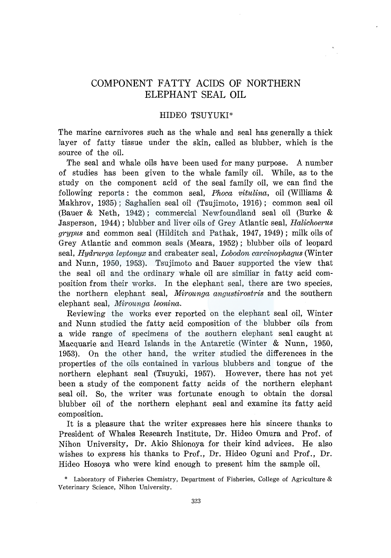# COMPONENT FATTY ACIDS OF NORTHERN ELEPHANT SEAL OIL

# HIDEO TSUYUKI\*

The marine carnivores such as the whale and seal has generally a thick layer of fatty tissue under the skin, called as blubber, which is the source of the oil.

The seal and whale oils have been used for many purpose. A number of studies has been given to the whale family oil. While, as to the study on the component acid of the seal family oil, we can find the following reports : the common seal, *Phoca vitulina,* oil (Williams & Makhrov, 1935); Saghalien seal oil (Tsujimoto, 1916); common seal oil (Bauer & Neth, 1942); commercial Newfoundland seal oil (Burke & Jasperson, 1944); blubber and liver oils of Grey Atlantic seal, *Halichoerus grypus* and common seal (Hilditch and Pathak, 1947, 1949); milk oils of Grey Atlantic and common seals (Meara, 1952); blubber oils of leopard seal, *Hydrurga leptonyx* and crabeater seal, *Lobodon carcinophagus* (Winter and Nunn, 1950, 1953). Tsujimoto and Bauer supported the view that the seal oil and the ordinary whale oil are similiar in fatty acid composition from their works. In the elephant seal, there are two species, the northern elephant seal, *Mirounga angustirostris* and the southern elephant seal, *Mirounga leonina.* 

Reviewing the works ever reported on the elephant seal oil, Winter and Nunn studied the fatty acid composition of the blubber oils from a wide range of specimens of the southern elephant seal caught at Macquarie and Heard Islands in the Antarctic (Winter & Nunn, 1950, 1953). On the other hand, the writer studied the differences in the properties of the oils contained in various blubbers and tongue of the northern elephant seal (Tsuyuki, 1957). However, there has not yet been a study of the component fatty acids of the northern elephant seal oil. So, the writer was fortunate enough to obtain the dorsal blubber oil of the northern elephant seal and examine its fatty acid composition.

It is a pleasure that the writer expresses here his sincere thanks to President of Whales Research Institute, Dr. Hideo Omura and Prof. of Nihon University, Dr. Akio Shionoya for their kind advices. He also wishes to express his thanks to Prof., Dr. Hideo Oguni and Prof., Dr. Hideo Hosoya who were kind enough to present him the sample oil.

\* Laboratory of Fisheries Chemistry, Department of Fisheries, College of Agriculture & Veterinary Science, Nihon University.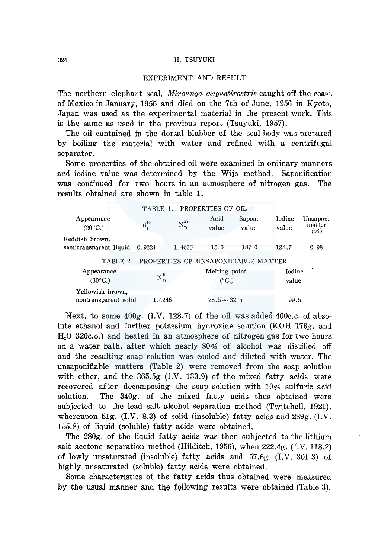### EXPERIMENT AND RESULT

The northern elephant seal, *Mirounga angustirostris* caught off the coast of Mexico in January, 1955 and died on the 7th of June, 1956 in Kyoto, Japan was used as the experimental material in the present work. This is the same as used in the previous report (Tsuyuki, 1957).

The oil contained in the dorsal blubber of the seal body was prepared by boiling the material with water and refined with a centrifugal separator.

Some properties of the obtained oil were examined in ordinary manners and iodine value was determined by the Wijs method. Saponification was continued for two hours in an atmosphere of nitrogen gas. The results obtained are shown in table 1.

|                                          | TABLE 1.                                  |                | PROPERTIES OF OIL               |                                     |                 |                            |
|------------------------------------------|-------------------------------------------|----------------|---------------------------------|-------------------------------------|-----------------|----------------------------|
| Appearance<br>$(20^{\circ}C_{n})$        | $\mathbf{d_{\scriptscriptstyle{4}}^{15}}$ | $\rm N_D^{30}$ | Acid<br>value                   | Sapon.<br>value                     | Iodine<br>value | Unsapon.<br>matter<br>(% ) |
| Reddish brown,<br>semitransparent liquid | 0.9224                                    | 1.4636         | 15.6                            | 187.6                               | 128.7           | 0.98                       |
| TABLE 2.                                 |                                           |                |                                 | PROPERTIES OF UNSAPONIFIABLE MATTER |                 |                            |
| Appearance<br>$(30^{\circ}C.)$           | $\mathrm{N}_{\mathrm{D}}^{40}$            |                | Melting point<br>$(^{\circ}C.)$ |                                     | Iodine<br>value |                            |
| Yellowish brown,                         |                                           |                |                                 |                                     |                 |                            |
| nontransparent solid                     | 1.4246                                    |                | $28.5 - 32.5$                   |                                     | 99.5            |                            |

Next, to some 400g. (I.V. 128.7) of the oil was added 400c.c. of absolute ethanol and further potassium hydroxide solution (KOH 176g. and  $H<sub>2</sub>0$  320c.o.) and heated in an atmosphere of nitrogen gas for two hours on a water bath, after which nearly 80% of alcohol was distilled off and the resulting soap solution was cooled and diluted with water. The unsaponifiable matters (Table 2) were removed from the soap solution with ether, and the 365.5g (I.V. 133.9) of the mixed fatty acids were recovered after decomposing the soap solution with 10% sulfuric acid solution. The 340g. of the mixed fatty acids thus obtained were subjected to the lead salt alcohol separation method (Twitchell, 1921), whereupon 51g.  $(I.V. 8.3)$  of solid (insoluble) fatty acids and 289g.  $(I.V. 8.3)$ 155.8) of liquid (soluble) fatty acids were obtained.

The 280g. of the liquid fatty acids was then subjected to the lithium salt acetone separation method (Hilditch, 1956), when 222.4g. (I.V. 118.2) of lowly unsaturated (insoluble) fatty acids and 57.6g. (I.V. 301.3) of highly unsaturated (soluble) fatty acids were obtained.

Some characteristics of the fatty acids thus obtained were measured by the usual manner and the following results were obtained (Table 3).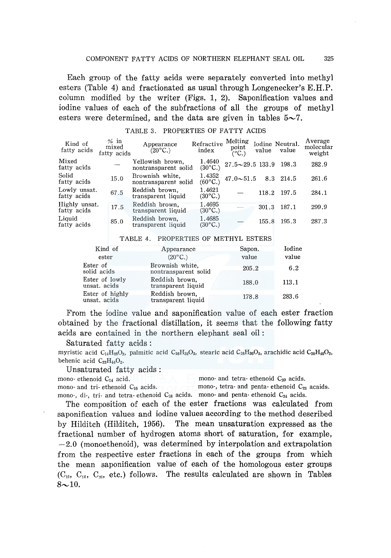Each group of the fatty acids were separately converted into methyl esters (Table 4) and fractionated as usual through Longenecker's E.H.P. column modified by the writer (Figs. 1, 2). Saponification values and iodine values of each of the subfractions of all the groups of methyl esters were determined, and the data are given in tables  $5\sim 7$ .

| Kind of<br>fatty acids       | $%$ in<br>mixed<br>fatty acids | Appearance<br>$(20^{\circ}C_{\cdot})$    | Refractive<br>index               | Melting<br>point<br>$(^{\circ}C.)$ | value | Iodine Neutral.<br>value | Average<br>molecular<br>weight |
|------------------------------|--------------------------------|------------------------------------------|-----------------------------------|------------------------------------|-------|--------------------------|--------------------------------|
| Mixed<br>fatty acids         |                                | Yellowish brown,<br>nontransparent solid | 1.4640<br>$(30^{\circ}C.)$        | $27.5 - 29.5$ 133.9                |       | 198.3                    | 282.9                          |
| Solid<br>fatty acids         | 15.0                           | Brownish white.<br>nontransparent solid  | 1.4352<br>$(60^{\circ}C)$         | $47.0 - 51.5$                      | 8.3   | 214.5                    | 261.6                          |
| Lowly unsat.<br>fatty acids  | 67.5                           | Reddish brown.<br>transparent liquid     | 1.4621<br>$(30^{\circ}C.)$        |                                    | 118.2 | 197.5                    | 284.1                          |
| Highly unsat.<br>fatty acids | 17.5                           | Reddish brown.<br>transparent liquid     | 1.4695<br>$(30^{\circ}C_{\cdot})$ |                                    | 301.3 | 187.1                    | 299.9                          |
| Liauid<br>fatty acids        | 85.0                           | Reddish brown,<br>transparent liquid     | 1.4685<br>$(30^{\circ}C_{\cdot})$ |                                    | 155.8 | 195.3                    | 287.3                          |

# TABLE 3. PROPERTIES OF FATTY ACIDS

#### TABLE 4. PROPERTIES OF METHYL ESTERS

| Kind of                         | Appearance                              | Sapon. | Iodine |
|---------------------------------|-----------------------------------------|--------|--------|
| ester                           | $(20^{\circ}C_{\cdot})$                 | value  | value  |
| Ester of<br>solid acids         | Brownish white,<br>nontransparent solid | 205.2  | 6.2    |
| Ester of lowly<br>unsat, acids  | Reddish brown.<br>transparent liquid    | 188.0  | 113.1  |
| Ester of highly<br>unsat. acids | Reddish brown.<br>transparent liquid    | 178.8  | 283.6  |

From the iodine value and saponification value of each ester fraction obtained by the fractional distillation, it seems that the following fatty acids are contained in the northern elephant seal oil :

Saturated fatty acids:

myristic acid  $C_{14}H_{28}O_2$ , palmitic acid  $C_{16}H_{32}O_2$ , stearic acid  $C_{18}H_{36}O_2$ , arachidic acid  $C_{20}H_{40}O_2$ , behenic acid  $C_{22}H_{44}O_2$ .

Unsaturated fatty acids:

mono- ethenoid  $C_{14}$  acid. mono- and tetra- ethenoid  $C_{20}$  acids.<br>mono- and tri- ethenoid  $C_{16}$  acids. mono-, tetra- and penta- ethenoid  $C_{22}$ mono-, tetra- and penta- ethenoid  $C_{22}$  acaids. mono-, di-, tri- and tetra- ethenoid  $C_{18}$  acids. mono- and penta- ethenoid  $C_{24}$  acids.

The composition of each of the ester fractions was calculated from saponification values and iodine values according to the method described by Hilditch (Hilditch, 1956). The mean unsaturation expressed as the fractional number of hydrogen atoms short of saturation, for example,  $-2.0$  (monoethenoid), was determined by interpolation and extrapolation from the respective ester fractions in each of the groups from which the mean saponification value of each of the homologous ester groups  $(C_{16}, C_{18}, C_{20}, \text{ etc.})$  follows. The results calculated are shown in Tables  $8 \sim 10$ .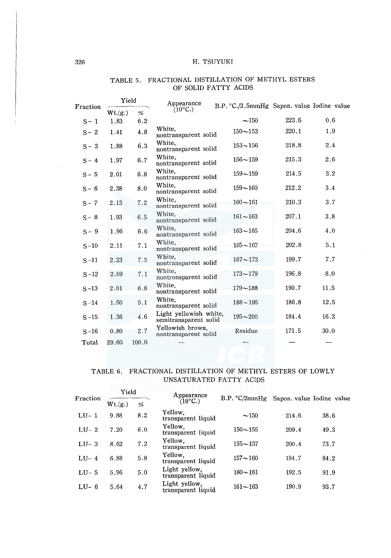| FRACTIONAL DISTILLATION OF METHYL ESTERS<br>TABLE 5. |         |       |                                                 |                                            |       |      |  |  |
|------------------------------------------------------|---------|-------|-------------------------------------------------|--------------------------------------------|-------|------|--|--|
|                                                      |         |       | OF SOLID FATTY ACIDS                            |                                            |       |      |  |  |
| Fraction                                             | Yield   |       | Appearance                                      | B.P. °C./3.5mmHg Sapon. value Iodine value |       |      |  |  |
|                                                      | Wt.(g.) | %     | $(10^{\circ}C)$                                 |                                            |       |      |  |  |
| $S-1$                                                | 1.83    | 6.2   |                                                 | $-150$                                     | 223.6 | 0.6  |  |  |
| $S - 2$                                              | 1.41    | 4.8   | White.<br>nontransparent solid                  | $150 - 153$                                | 220.1 | 1.9  |  |  |
| $S - 3$                                              | 1.88    | 6.3   | White.<br>nontransparent solid                  | $153 - 156$                                | 218.8 | 2.4  |  |  |
| $S - 4$                                              | 1.97    | 6.7   | White,<br>nontransparent solid                  | $156 - 159$                                | 215.3 | 2.6  |  |  |
| $S - 5$                                              | 2.01    | 6.8   | White.<br>nontransparent solid                  | $159 - 159$                                | 214.5 | 3.2  |  |  |
| $S-6$                                                | 2.38    | 8.0   | White,<br>nontransparent solid                  | $159 - 160$                                | 212.2 | 3.4  |  |  |
| $S - 7$                                              | 2.13    | 7.2   | White.<br>nontransparent solid                  | $160 - 161$                                | 210.3 | 3.7  |  |  |
| $S - 8$                                              | 1.93    | 6.5   | White.<br>nontransparent solid                  | $161 - 163$                                | 207.1 | 3.8  |  |  |
| $S - 9$                                              | 1.96    | 6.6   | White.<br>nontransparent solid                  | $163 - 165$                                | 204.6 | 4.0  |  |  |
| $S-10$                                               | 2.11    | 7.1   | White.<br>nontransparent solid                  | $165 - 167$                                | 202.8 | 5.1  |  |  |
| $S-11$                                               | 2.23    | 7.5   | White.<br>nontransparent solid                  | $167 - 173$                                | 199.7 | 7.7  |  |  |
| $S-12$                                               | 2.09    | 7.1   | White.<br>nontronsparent solid                  | $173 - 179$                                | 196.8 | 8.0  |  |  |
| $S-13$                                               | 2.01    | 6.8   | White.<br>nontransparent solid                  | $179 - 188$                                | 190.7 | 11.5 |  |  |
| $S-14$                                               | 1.50    | 5.1   | White.<br>nontransparent solid                  | $188 - 195$                                | 186.8 | 12.5 |  |  |
| $S-15$                                               | 1.36    | 4.6   | Light yellowish white,<br>semitransparent solid | $195 - 200$                                | 184.4 | 16.3 |  |  |
| $S-16$                                               | 0.80    | 2.7   | Yellowish brown,<br>nontransparent solid        | Residue                                    | 171.5 | 30.0 |  |  |
| Total                                                | 29.60   | 100.0 |                                                 |                                            |       |      |  |  |

# OF SOLID FATTY ACIDS

# UNSATURATED FATTY ACIDS

|           | FRACTIONAL DISTILLATION OF METHYL ESTERS OF LOWLY<br>TABLE 6.<br>UNSATURATED FATTY ACIDS |     |                                     |               |                           |      |  |  |  |  |
|-----------|------------------------------------------------------------------------------------------|-----|-------------------------------------|---------------|---------------------------|------|--|--|--|--|
| Fraction  | Yield<br>Wt.(g.)                                                                         | %   | Appearance<br>$(10^{\circ}C)$       | B.P. °C/2mmHg | Sapon, value Iodine value |      |  |  |  |  |
| $LU-1$    | 9.88                                                                                     | 8.2 | Yellow.<br>transparent liquid       | ~150          | 214.6                     | 38.6 |  |  |  |  |
| $LI - 2$  | 7.20                                                                                     | 6.0 | Yellow.<br>transparent liquid       | $150 - 155$   | 209.4                     | 49.3 |  |  |  |  |
| $LU-3$    | 8.62                                                                                     | 7.2 | Yellow.<br>transparent liquid       | $155 - 157$   | 200.4                     | 73.7 |  |  |  |  |
| $I.I-I-4$ | 6.88                                                                                     | 5.8 | Yellow,<br>transparent liquid       | $157 - 160$   | 194.7                     | 84.2 |  |  |  |  |
| $LII-5$   | 5.96                                                                                     | 5.0 | Light yellow,<br>transparent liquid | $160 - 161$   | 192.5                     | 91.9 |  |  |  |  |
| LU $-6$   | 5.64                                                                                     | 4.7 | Light yellow.<br>transparent liquid | $161 - 163$   | 190.9                     | 93.7 |  |  |  |  |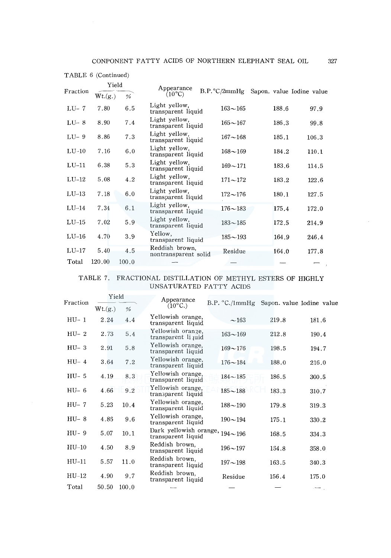|          | Yield   |       | Appearance<br>$B.P.^{\circ}C/2mmHg$    |             |                           |       |
|----------|---------|-------|----------------------------------------|-------------|---------------------------|-------|
| Fraction | Wt.(g.) | %     | $(10^{\circ}C)$                        |             | Sapon, value Iodine value |       |
| $LU-7$   | 7.80    | 6.5   | Light yellow,<br>transparent liquid    | $163 - 165$ | 188.6                     | 97.9  |
| $LU-8$   | 8.90    | 7.4   | Light yellow,<br>transparent liquid    | $165 - 167$ | 186.3                     | 99.8  |
| LU-9     | 8.86    | 7.3   | Light yellow,<br>transparent liquid    | $167 - 168$ | 185.1                     | 106.3 |
| $LU-10$  | 7.16    | 6.0   | Light yellow,<br>transparent liquid    | $168 - 169$ | 184.2                     | 110.1 |
| $LU-11$  | 6.38    | 5.3   | Light yellow,<br>transparent liquid    | $169 - 171$ | 183.6                     | 114.5 |
| $LU-12$  | 5.08    | 4.2   | Light yellow.<br>transparent liquid    | $171 - 172$ | 183.2                     | 122.6 |
| $LU-13$  | 7.18    | 6.0   | Light yellow,<br>transparent liquid    | $172 - 176$ | 180.1                     | 127.5 |
| $LU-14$  | 7.34    | 6.1   | Light yellow,<br>transparent liquid    | $176 - 183$ | 175.4                     | 172.0 |
| $LU-15$  | 7.02    | 5.9   | Light yellow,<br>transparent liquid    | $183 - 185$ | 172.5                     | 214.9 |
| $LU-16$  | 4.70    | 3.9   | Yellow,<br>transparent liquid          | $185 - 193$ | 164.9                     | 246.4 |
| $LU-17$  | 5.40    | 4.5   | Reddish brown,<br>nontransparent solid | Residue     | 164.0                     | 177.8 |
| Total    | 120.00  | 100.0 |                                        |             |                           |       |

### TABLE 6 (Continued)

# TABLE 7. FRACTIONAL DISTILLATION OF METHYL ESTERS OF HIGHLY UNSATURATED FATTY ACIDS

| Fraction | Yield   |       | Appearance                                               | $B.P. °C./1mm$ Hg | Sapon. value Iodine value |       |
|----------|---------|-------|----------------------------------------------------------|-------------------|---------------------------|-------|
|          | Wt.(g.) | %     | $(10^{\circ}C)$                                          |                   |                           |       |
| $HU-1$   | 2.24    | 4.4   | Yellowish orange,<br>transparent liquid                  | ~163              | 219.8                     | 181.6 |
| $HU-2$   | 2.73    | 5.4   | Yellowish orange.<br>transparent liquid                  | $163 - 169$       | 212.8                     | 190.4 |
| $HU-3$   | 2.91    | 5.8   | Yellowish orange,<br>transparent liquid                  | $169 - 176$       | 198.5                     | 194.7 |
| $HU-4$   | 3.64    | 7.2   | Yellowish orange,<br>transparent liquid                  | $176 - 184$       | 188.0                     | 216.0 |
| $HU-5$   | 4.19    | 8.3   | Yellowish orange,<br>transparent liquid                  | $184 - 185$       | 186.5                     | 300.5 |
| $HU-6$   | 4.66    | 9.2   | Yellowish orange,<br>transparent liquid                  | $185 - 188$       | 183.3                     | 310.7 |
| $HU-7$   | 5.23    | 10.4  | Yellowish orange.<br>transparent liquid                  | $188 - 190$       | 179.8                     | 319.3 |
| $HU-8$   | 4.85    | 9.6   | Yellowish orange,<br>transparent liquid                  | $190 - 194$       | 175.1                     | 330.2 |
| $HU-9$   | 5.07    | 10.1  | Dark yellowish orange, $194 - 196$<br>transparent liquid |                   | 168.5                     | 334.3 |
| $HU-10$  | 4.50    | 8.9   | Reddish brown.<br>transparent liquid                     | $196 - 197$       | 154.8                     | 358.0 |
| $HU-11$  | 5.57    | 11.0  | Reddish brown.<br>transparent liquid                     | $197 - 198$       | 163.5                     | 340.3 |
| $HU-12$  | 4.90    | 9.7   | Reddish brown.<br>transparent liquid                     | Residue           | 156.4                     | 175.0 |
| Total    | 50.50   | 100.0 |                                                          |                   |                           |       |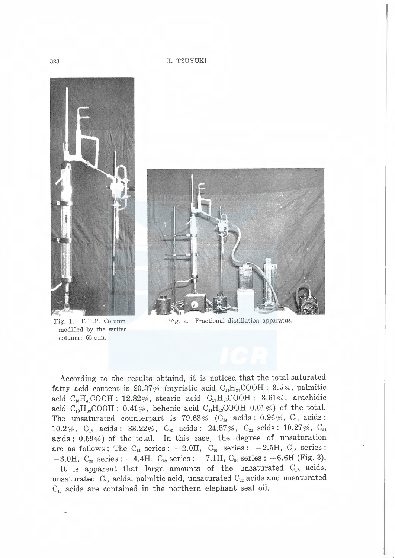

E.H.P. Colun E.H.P. Column<br>ed by the write:<br>1: 65 c.m. d by th<br>:  $65$  c.n modifie<br>column  $\overline{f}$ 



Fig. 2. Fractional distillation apparatus.

According to the results obtaind, it is noticed that the total saturated fatty acid content is 20.37% (myristic acid  $C_{13}H_{27}COOH: 3.5%$ , palmitic acid  $C_{15}H_{31}COOH$ : 12.82%, stearic acid  $C_{17}H_{35}COOH$ : 3.61%, arachidic acid  $C_{19}H_{39}COOH$ : 0.41%, behenic acid  $C_{21}H_{43}COOH$  0.01%) of the total. The unsaturated counterpart is 79.63% ( $C_{14}$  acids : 0.96%,  $C_{16}$  acids : 10.2%,  $C_{18}$  acids: 33.22%,  $C_{20}$  acids: 24.57%,  $C_{22}$  scids: 10.27%,  $C_{24}$ acids : 0.59%) of the total. In this case, the degree of unsaturation are as follows; The  $C_{14}$  series:  $-2.0H$ ,  $C_{16}$  series:  $-2.5H$ ,  $C_{18}$  series:  $-3.0H$ ,  $C_{20}$  series:  $-4.4H$ ,  $C_{22}$  series:  $-7.1H$ ,  $C_{24}$  series:  $-6.6H$  (Fig. 3).

It is apparent that large amounts of the unsaturated  $C_{18}$  acids, unsaturated  $C_{20}$  acids, palmitic acid, unsaturated  $C_{22}$  acids and unsaturated  $C_{16}$  acids are contained in the northern elephant seal oil.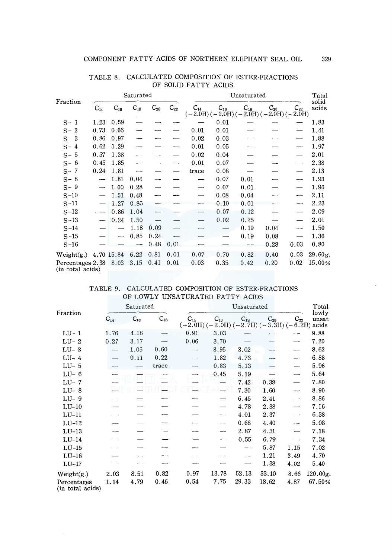| Fraction                                  |                                           |                          | Saturated |          |                          | Unsaturated                                           |          |          |          |                          | Tatal          |
|-------------------------------------------|-------------------------------------------|--------------------------|-----------|----------|--------------------------|-------------------------------------------------------|----------|----------|----------|--------------------------|----------------|
|                                           | $C_{14}$                                  | $\mathrm{C_{16}}$        | $C_{18}$  | $C_{20}$ | $C_{22}$                 | $C_{14}$<br>$(-2.0H) (-2.0H) (-2.0H) (-2.0H) (-2.0H)$ | $C_{16}$ | $C_{18}$ | $C_{20}$ | $C_{22}$                 | solid<br>acids |
| $S-1$                                     | 1.23                                      | 0.59                     |           |          |                          |                                                       | 0.01     |          |          |                          | 1.83           |
| $S - 2$                                   | 0.73                                      | 0.66                     |           |          |                          | 0.01                                                  | 0.01     |          |          |                          | 1.41           |
| $S - 3$                                   | 0.86                                      | 0.97                     |           |          |                          | 0.02                                                  | 0.03     |          |          |                          | 1.88           |
| $S - 4$                                   | 0.62                                      | 1.29                     |           |          | ----                     | 0.01                                                  | 0.05     |          |          | ---                      | 1.97           |
| $S - 5$                                   | 0.57                                      | 1.38                     | -         |          |                          | 0.02                                                  | 0.04     |          |          |                          | 2.01           |
| $S - 6$                                   | 0.45                                      | 1.85                     |           |          | $\overline{\phantom{a}}$ | 0.01                                                  | 0.07     |          |          |                          | 2.38           |
| $S - 7$                                   | 0.24                                      | 1.81                     | ---       |          |                          | trace                                                 | 0.08     |          |          |                          | 2.13           |
| $S - 8$                                   | $\overline{\phantom{a}}$                  | 1.81                     | 0.04      | ---      |                          | $\overline{\phantom{0}}$                              | 0.07     | 0.01     |          | ---                      | 1.93           |
| $S - 9$                                   | $\qquad \qquad \overline{\qquad \qquad }$ | 1.60                     | 0.28      |          |                          | —                                                     | 0.07     | 0.01     |          |                          | 1.96           |
| $S-10$                                    |                                           | 1.51                     | 0.48      |          |                          |                                                       | 0.08     | 0.04     |          | ---                      | 2.11           |
| $S-11$                                    |                                           | 1.27                     | 0.85      | $-$      |                          | -                                                     | 0.10     | 0.01     |          | <b>CONTRACTOR</b>        | 2.23           |
| $S-12$                                    |                                           | 0.86                     | 1.04      |          |                          |                                                       | 0.07     | 0.12     |          | $\overline{\phantom{0}}$ | 2.09           |
| $S-13$                                    | -----                                     | 0.24                     | 1.50      |          |                          |                                                       | 0.02     | 0.25     |          |                          | 2.01           |
| $S-14$                                    |                                           |                          | 1.18      | 0.09     |                          |                                                       |          | 0.19     | 0.04     | --                       | 1.50           |
| $S-15$                                    |                                           | $\overline{\phantom{a}}$ | 0.85      | 0.24     |                          |                                                       |          | 0.19     | 0.08     |                          | 1.36           |
| $S-16$                                    |                                           |                          |           | 0.48     | 0.01                     |                                                       |          | ---      | 0.28     | 0.03                     | 0.80           |
| Weight $(g.)$ 4.70 15.84                  |                                           |                          | 6.22      | 0.81     | 0.01                     | 0.07                                                  | 0.70     | 0.82     | 0.40     | 0.03                     | 29.60g.        |
| Percentages 2.38 8.03<br>(in total acids) |                                           |                          | 3.15      | 0.41     | 0.01                     | 0.03                                                  | 0.35     | 0.42     | 0.20     | 0.02                     | 15.00%         |

TABLE 8. CALCULATED COMPOSITION OF ESTER-FRACTIONS OF SOLID FATTY ACIDS

|                                  |  | TABLE 9. CALCULATED COMPOSITION OF ESTER-FRACTIONS |
|----------------------------------|--|----------------------------------------------------|
| OF LOWLY UNSATURATED FATTY ACIDS |  |                                                    |

| Fraction                        |          | Saturated |          |                                                             | Unsaturated |          |          |          | Total          |
|---------------------------------|----------|-----------|----------|-------------------------------------------------------------|-------------|----------|----------|----------|----------------|
|                                 | $C_{14}$ | $C_{16}$  | $C_{18}$ | $C_{14}$<br>$(-2.0H)$ (-2.0H) (-2.7H) (-3.3H) (-6.2H) acids | $C_{16}$    | $C_{18}$ | $C_{20}$ | $C_{22}$ | lowly<br>unsat |
| $LU-1$                          | 1.76     | 4.18      |          | 0.91                                                        | 3.03        |          |          |          | 9.88           |
| $LU-2$                          | 0.27     | 3.17      |          | 0.06                                                        | 3.70        |          |          |          | 7.20           |
| $LU-3$                          |          | 1.05      | 0.60     | <b>Contract</b>                                             | 3.95        | 3.02     |          |          | 8.62           |
| $LU-4$                          |          | 0.11      | 0.22     |                                                             | 1.82        | 4.73     |          |          | 6.88           |
| $LU-5$                          |          | ----      | trace    |                                                             | 0.83        | 5.13     |          |          | 5.96           |
| $LU-6$                          |          |           |          |                                                             | 0.45        | 5.19     |          |          | 5.64           |
| $LU-7$                          |          |           |          |                                                             |             | 7.42     | 0.38     |          | 7.80           |
| $LU-8$                          |          |           |          |                                                             |             | 7.30     | 1.60     |          | 8.90           |
| $LU-9$                          |          |           |          |                                                             |             | 6.45     | 2.41     |          | 8.86           |
| $LU-10$                         |          |           |          |                                                             |             | 4.78     | 2.38     |          | 7.16           |
| $LU-11$                         |          |           |          |                                                             |             | 4.01     | 2.37     |          | 6.38           |
| $LU-12$                         |          |           |          |                                                             |             | 0.68     | 4.40     |          | 5.08           |
| $LU-13$                         |          |           |          |                                                             |             | 2.87     | 4.31     |          | 7.18           |
| $LU-14$                         |          |           |          |                                                             |             | 0.55     | 6.79     |          | 7.34           |
| $LU-15$                         |          |           |          |                                                             |             | ----     | 5.87     | 1.15     | 7.02           |
| $LU-16$                         |          |           |          |                                                             |             |          | 1.21     | 3.49     | 4.70           |
| $LU-17$                         |          |           |          |                                                             |             |          | 1.38     | 4.02     | 5.40           |
| Weight(g.)                      | 2.03     | 8.51      | 0.82     | 0.97                                                        | 13.78       | 52.13    | 33.10    | 8.66     | 120.00g.       |
| Percentages<br>(in total acids) | 1.14     | 4.79      | 0.46     | 0.54                                                        | 7.75        | 29.33    | 18.62    | 4.87     | 67.50%         |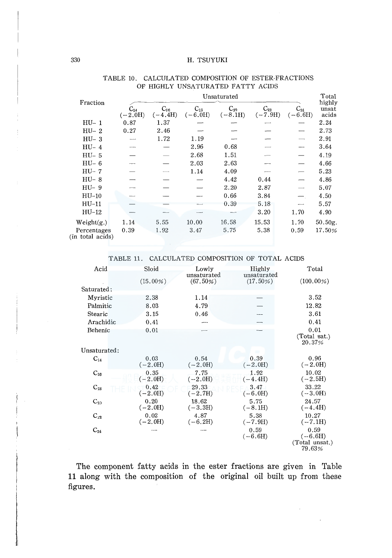|                                 |                       | Unsaturated           |                       |                       |                       |                                |                          |  |  |
|---------------------------------|-----------------------|-----------------------|-----------------------|-----------------------|-----------------------|--------------------------------|--------------------------|--|--|
| Fraction                        | $C_{14}$<br>$(-2.0H)$ | $C_{16}$<br>$(-4.4H)$ | $C_{13}$<br>$(-6.0H)$ | $C_{20}$<br>$(-8.1H)$ | $C_{22}$<br>$(-7.9H)$ | $\mathrm{C}_{24}$<br>$(-6.6H)$ | highly<br>unsat<br>acids |  |  |
| HU- 1                           | 0.87                  | 1.37                  |                       |                       |                       |                                | 2.24                     |  |  |
| $HU-2$                          | 0.27                  | 2.46                  |                       |                       |                       |                                | 2.73                     |  |  |
| $HU-3$                          |                       | 1.72                  | 1.19                  |                       |                       |                                | 2.91                     |  |  |
| $HU-4$                          |                       |                       | 2.96                  | 0.68                  |                       |                                | 3.64                     |  |  |
| $HU-5$                          |                       |                       | 2.68                  | 1.51                  |                       |                                | 4.19                     |  |  |
| $HU-6$                          |                       |                       | 2.03                  | 2.63                  |                       |                                | 4.66                     |  |  |
| $HU - 7$                        |                       |                       | 1.14                  | 4.09                  |                       |                                | 5.23                     |  |  |
| $HU-8$                          |                       |                       |                       | 4.42                  | 0.44                  |                                | 4.86                     |  |  |
| $HU-9$                          |                       |                       |                       | 2.20                  | 2.87                  |                                | 5.07                     |  |  |
| $HU-10$                         |                       |                       |                       | 0.66                  | 3.84                  |                                | 4.50                     |  |  |
| $HU-11$                         |                       |                       |                       | 0.39                  | 5.18                  |                                | 5.57                     |  |  |
| $HU-12$                         |                       |                       |                       |                       | 3.20                  | 1.70                           | 4.90                     |  |  |
| Weight(g.)                      | 1.14                  | 5.55                  | 10.00                 | 16.58                 | 15.53                 | 1.70                           | 50.50g.                  |  |  |
| Percentages<br>(in total acids) | 0.39                  | 1.92                  | 3.47                  | 5.75                  | 5.38                  | 0.59                           | 17.50%                   |  |  |

## TABLE 10. CALCULATED COMPOSITION OF ESTER-FRACTIONS OF HIGHLY UNSATURATED FATTY ACIDS

TABLE 11. CALCULATED COMPOSITION OF TOTAL ACIDS

| Acid         | Sloid       | Lowly       | Highly      | Total          |
|--------------|-------------|-------------|-------------|----------------|
|              |             | unsaturated | unsaturated |                |
|              | $(15.00\%)$ | (67.50%)    | $(17.50\%)$ | $(100.00\%)$   |
| Saturated:   |             |             |             |                |
| Myristic     | 2.38        | 1.14        |             | 3.52           |
| Palmitic     | 8.03        | 4.79        |             | 12.82          |
| Stearic      | 3.15        | 0.46        |             | 3.61           |
| Arachidic    | 0.41        |             |             | 0.41           |
| Behenic      | 0.01        |             |             | 0.01           |
|              |             |             |             | (Total sat.)   |
|              |             |             |             | 20.37%         |
| Unsaturated: |             |             |             |                |
| $C_{14}$     | 0.03        | 0.54        | 0.39        | 0.96           |
|              | $(-2.0H)$   | $(-2.0H)$   | $(-2.0H)$   | $(-2.0H)$      |
| $C_{16}$     | 0.35        | 7.75        | 1.92        | 10.02          |
|              | $(-2.0H)$   | $(-2.0H)$   | $(-4.4H)$   | $(-2.5H)$      |
| $C_{18}$     | 0.42        | 29.33       | 3.47        | 33.22          |
|              | $(-2.0H)$   | $(-2.7H)$   | $(-6.0H)$   | $(-3.0H)$      |
| $C_{21}$     | 0.20        | 18.62       | 5.75        | 24.57          |
|              | $(-2.0H)$   | $(-3.3H)$   | $(-8.1H)$   | $(-4.4H)$      |
| $C_{22}$     | 0.02        | 4.87        | 5.38        | 10.27          |
|              | $(-2.0H)$   | $(-6.2H)$   | $(-7.9H)$   | $(-7.1H)$      |
| $C_{24}$     |             |             | 0.59        | 0.59           |
|              |             |             | $(-6.6H)$   | $(-6.6H)$      |
|              |             |             |             | (Total unsat.) |
|              |             |             |             | 79.63%         |

The component fatty acids in the ester fractions are given in Table 11 along with the composition of the original oil built up from these figures.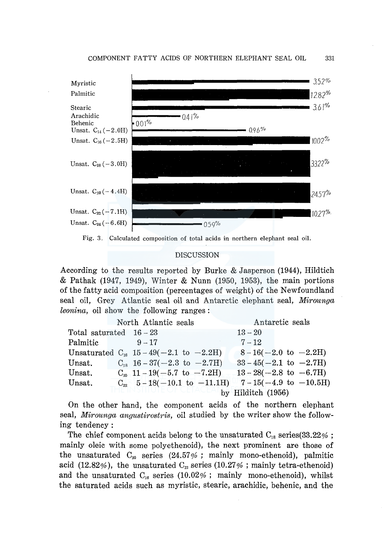

Fig. 3. Calculated composition of total acids in northern elephant seal oil.

#### DISCUSSION

According to the results reported by Burke & Jasperson (1944), Hildtich & Pathak (1947, 1949), Winter & Nunn (1950, 1953), the main portions of the fatty acid composition (percentages of weight) of the Newfoundland seal oil, Grey Atlantic seal oil and Antarctic elephant seal, *Mirounga leonina,* oil show the following ranges :

|                         | North Atlantic seals |                                             |                                 | Antarctic seals |                                                     |
|-------------------------|----------------------|---------------------------------------------|---------------------------------|-----------------|-----------------------------------------------------|
| Total saturated $16-23$ |                      |                                             |                                 | $13 - 20$       |                                                     |
| Palmitic                |                      | $9 - 17$                                    |                                 | $7 - 12$        |                                                     |
|                         |                      | Unsaturated $C_{16}$ 15 - 49(-2.1 to -2.2H) |                                 |                 | $8-16(-2.0 \text{ to } -2.2\text{H})$               |
| Unsat.                  |                      | $C_{18}$ 16 – 37( – 2.3 to – 2.7H)          |                                 |                 | $33-45(-2.1 \text{ to } -2.7\text{H})$              |
| Unsat.                  |                      |                                             | $C_{20}$ 11 – 19(-5.7 to -7.2H) |                 | $13 - 28(-2.8 \text{ to } -6.7\text{H})$            |
| Unsat.                  |                      |                                             |                                 |                 | $C_{22}$ 5-18(-10.1 to -11.1H) 7-15(-4.9 to -10.5H) |
|                         | by Hilditch $(1956)$ |                                             |                                 |                 |                                                     |

On the other hand, the component acids of the northern elephant seal, *Mirounga angustirostris,* oil studied by the writer show the following tendency :

The chief component acids belong to the unsaturated  $C_{18}$  series(33.22%; mainly oleic with some polyethenoid), the next prominent are those of the unsaturated  $C_{20}$  series (24.57%; mainly mono-ethenoid), palmitic acid (12.82%), the unsaturated  $C_{22}$  series (10.27%; mainly tetra-ethenoid) and the unsaturated  $C_{16}$  series (10.02%; mainly mono-ethenoid), whilst the saturated acids such as myristic, stearic, arachidic, behenic, and the